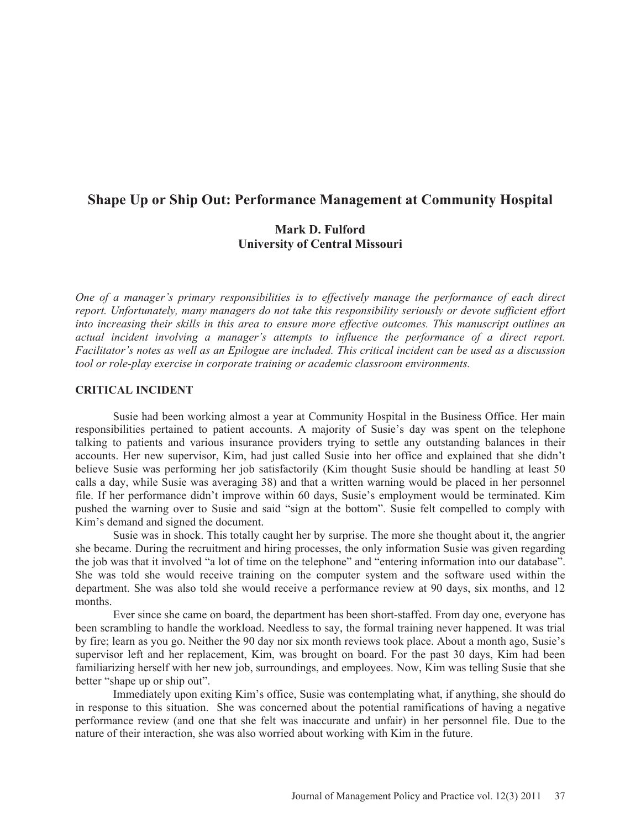# **Shape Up or Ship Out: Performance Management at Community Hospital**

# **Mark D. Fulford University of Central Missouri**

*One of a manager's primary responsibilities is to effectively manage the performance of each direct report. Unfortunately, many managers do not take this responsibility seriously or devote sufficient effort into increasing their skills in this area to ensure more effective outcomes. This manuscript outlines an actual incident involving a manager's attempts to influence the performance of a direct report. Facilitator's notes as well as an Epilogue are included. This critical incident can be used as a discussion tool or role-play exercise in corporate training or academic classroom environments.*

#### **CRITICAL INCIDENT**

Susie had been working almost a year at Community Hospital in the Business Office. Her main responsibilities pertained to patient accounts. A majority of Susie's day was spent on the telephone talking to patients and various insurance providers trying to settle any outstanding balances in their accounts. Her new supervisor, Kim, had just called Susie into her office and explained that she didn't believe Susie was performing her job satisfactorily (Kim thought Susie should be handling at least 50 calls a day, while Susie was averaging 38) and that a written warning would be placed in her personnel file. If her performance didn't improve within 60 days, Susie's employment would be terminated. Kim pushed the warning over to Susie and said "sign at the bottom". Susie felt compelled to comply with Kim's demand and signed the document.

Susie was in shock. This totally caught her by surprise. The more she thought about it, the angrier she became. During the recruitment and hiring processes, the only information Susie was given regarding the job was that it involved "a lot of time on the telephone" and "entering information into our database". She was told she would receive training on the computer system and the software used within the department. She was also told she would receive a performance review at 90 days, six months, and 12 months.

Ever since she came on board, the department has been short-staffed. From day one, everyone has been scrambling to handle the workload. Needless to say, the formal training never happened. It was trial by fire; learn as you go. Neither the 90 day nor six month reviews took place. About a month ago, Susie's supervisor left and her replacement, Kim, was brought on board. For the past 30 days, Kim had been familiarizing herself with her new job, surroundings, and employees. Now, Kim was telling Susie that she better "shape up or ship out".

Immediately upon exiting Kim's office, Susie was contemplating what, if anything, she should do in response to this situation. She was concerned about the potential ramifications of having a negative performance review (and one that she felt was inaccurate and unfair) in her personnel file. Due to the nature of their interaction, she was also worried about working with Kim in the future.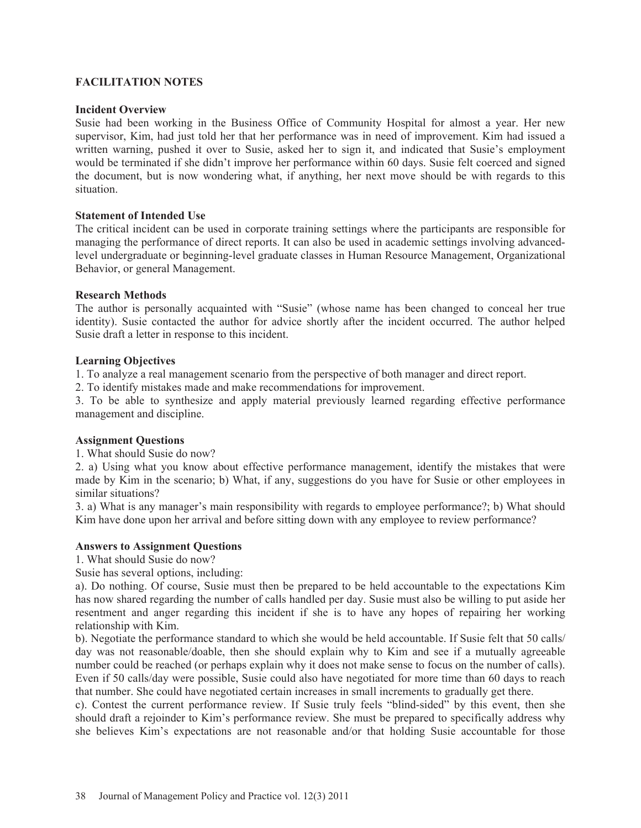# **FACILITATION NOTES**

#### **Incident Overview**

Susie had been working in the Business Office of Community Hospital for almost a year. Her new supervisor, Kim, had just told her that her performance was in need of improvement. Kim had issued a written warning, pushed it over to Susie, asked her to sign it, and indicated that Susie's employment would be terminated if she didn't improve her performance within 60 days. Susie felt coerced and signed the document, but is now wondering what, if anything, her next move should be with regards to this situation.

# **Statement of Intended Use**

The critical incident can be used in corporate training settings where the participants are responsible for managing the performance of direct reports. It can also be used in academic settings involving advancedlevel undergraduate or beginning-level graduate classes in Human Resource Management, Organizational Behavior, or general Management.

### **Research Methods**

The author is personally acquainted with "Susie" (whose name has been changed to conceal her true identity). Susie contacted the author for advice shortly after the incident occurred. The author helped Susie draft a letter in response to this incident.

### **Learning Objectives**

1. To analyze a real management scenario from the perspective of both manager and direct report.

2. To identify mistakes made and make recommendations for improvement.

3. To be able to synthesize and apply material previously learned regarding effective performance management and discipline.

# **Assignment Questions**

1. What should Susie do now?

2. a) Using what you know about effective performance management, identify the mistakes that were made by Kim in the scenario; b) What, if any, suggestions do you have for Susie or other employees in similar situations?

3. a) What is any manager's main responsibility with regards to employee performance?; b) What should Kim have done upon her arrival and before sitting down with any employee to review performance?

#### **Answers to Assignment Questions**

1. What should Susie do now?

Susie has several options, including:

a). Do nothing. Of course, Susie must then be prepared to be held accountable to the expectations Kim has now shared regarding the number of calls handled per day. Susie must also be willing to put aside her resentment and anger regarding this incident if she is to have any hopes of repairing her working relationship with Kim.

b). Negotiate the performance standard to which she would be held accountable. If Susie felt that 50 calls/ day was not reasonable/doable, then she should explain why to Kim and see if a mutually agreeable number could be reached (or perhaps explain why it does not make sense to focus on the number of calls). Even if 50 calls/day were possible, Susie could also have negotiated for more time than 60 days to reach that number. She could have negotiated certain increases in small increments to gradually get there.

c). Contest the current performance review. If Susie truly feels "blind-sided" by this event, then she should draft a rejoinder to Kim's performance review. She must be prepared to specifically address why she believes Kim's expectations are not reasonable and/or that holding Susie accountable for those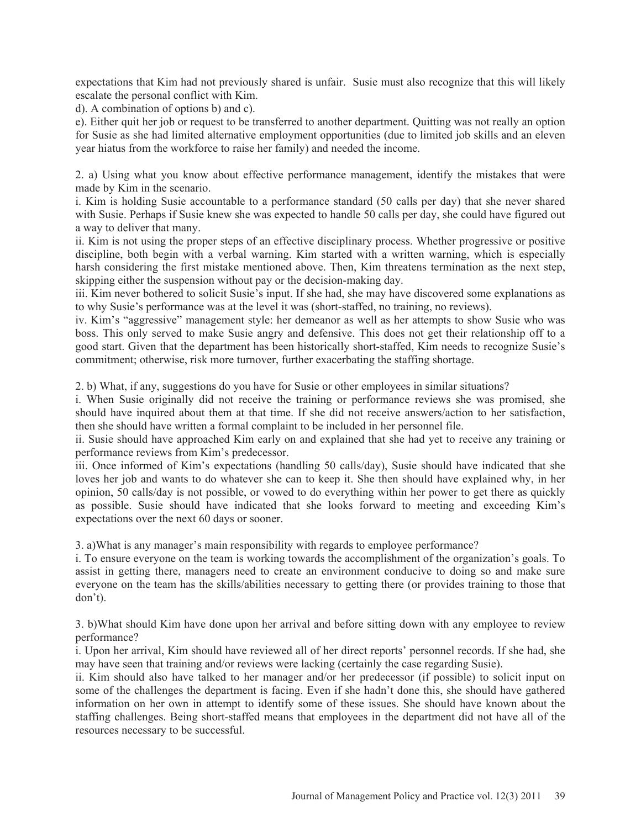expectations that Kim had not previously shared is unfair. Susie must also recognize that this will likely escalate the personal conflict with Kim.

d). A combination of options b) and c).

e). Either quit her job or request to be transferred to another department. Quitting was not really an option for Susie as she had limited alternative employment opportunities (due to limited job skills and an eleven year hiatus from the workforce to raise her family) and needed the income.

2. a) Using what you know about effective performance management, identify the mistakes that were made by Kim in the scenario.

i. Kim is holding Susie accountable to a performance standard (50 calls per day) that she never shared with Susie. Perhaps if Susie knew she was expected to handle 50 calls per day, she could have figured out a way to deliver that many.

ii. Kim is not using the proper steps of an effective disciplinary process. Whether progressive or positive discipline, both begin with a verbal warning. Kim started with a written warning, which is especially harsh considering the first mistake mentioned above. Then, Kim threatens termination as the next step, skipping either the suspension without pay or the decision-making day.

iii. Kim never bothered to solicit Susie's input. If she had, she may have discovered some explanations as to why Susie's performance was at the level it was (short-staffed, no training, no reviews).

iv. Kim's "aggressive" management style: her demeanor as well as her attempts to show Susie who was boss. This only served to make Susie angry and defensive. This does not get their relationship off to a good start. Given that the department has been historically short-staffed, Kim needs to recognize Susie's commitment; otherwise, risk more turnover, further exacerbating the staffing shortage.

2. b) What, if any, suggestions do you have for Susie or other employees in similar situations?

i. When Susie originally did not receive the training or performance reviews she was promised, she should have inquired about them at that time. If she did not receive answers/action to her satisfaction, then she should have written a formal complaint to be included in her personnel file.

ii. Susie should have approached Kim early on and explained that she had yet to receive any training or performance reviews from Kim's predecessor.

iii. Once informed of Kim's expectations (handling 50 calls/day), Susie should have indicated that she loves her job and wants to do whatever she can to keep it. She then should have explained why, in her opinion, 50 calls/day is not possible, or vowed to do everything within her power to get there as quickly as possible. Susie should have indicated that she looks forward to meeting and exceeding Kim's expectations over the next 60 days or sooner.

3. a)What is any manager's main responsibility with regards to employee performance?

i. To ensure everyone on the team is working towards the accomplishment of the organization's goals. To assist in getting there, managers need to create an environment conducive to doing so and make sure everyone on the team has the skills/abilities necessary to getting there (or provides training to those that don't).

3. b)What should Kim have done upon her arrival and before sitting down with any employee to review performance?

i. Upon her arrival, Kim should have reviewed all of her direct reports' personnel records. If she had, she may have seen that training and/or reviews were lacking (certainly the case regarding Susie).

ii. Kim should also have talked to her manager and/or her predecessor (if possible) to solicit input on some of the challenges the department is facing. Even if she hadn't done this, she should have gathered information on her own in attempt to identify some of these issues. She should have known about the staffing challenges. Being short-staffed means that employees in the department did not have all of the resources necessary to be successful.